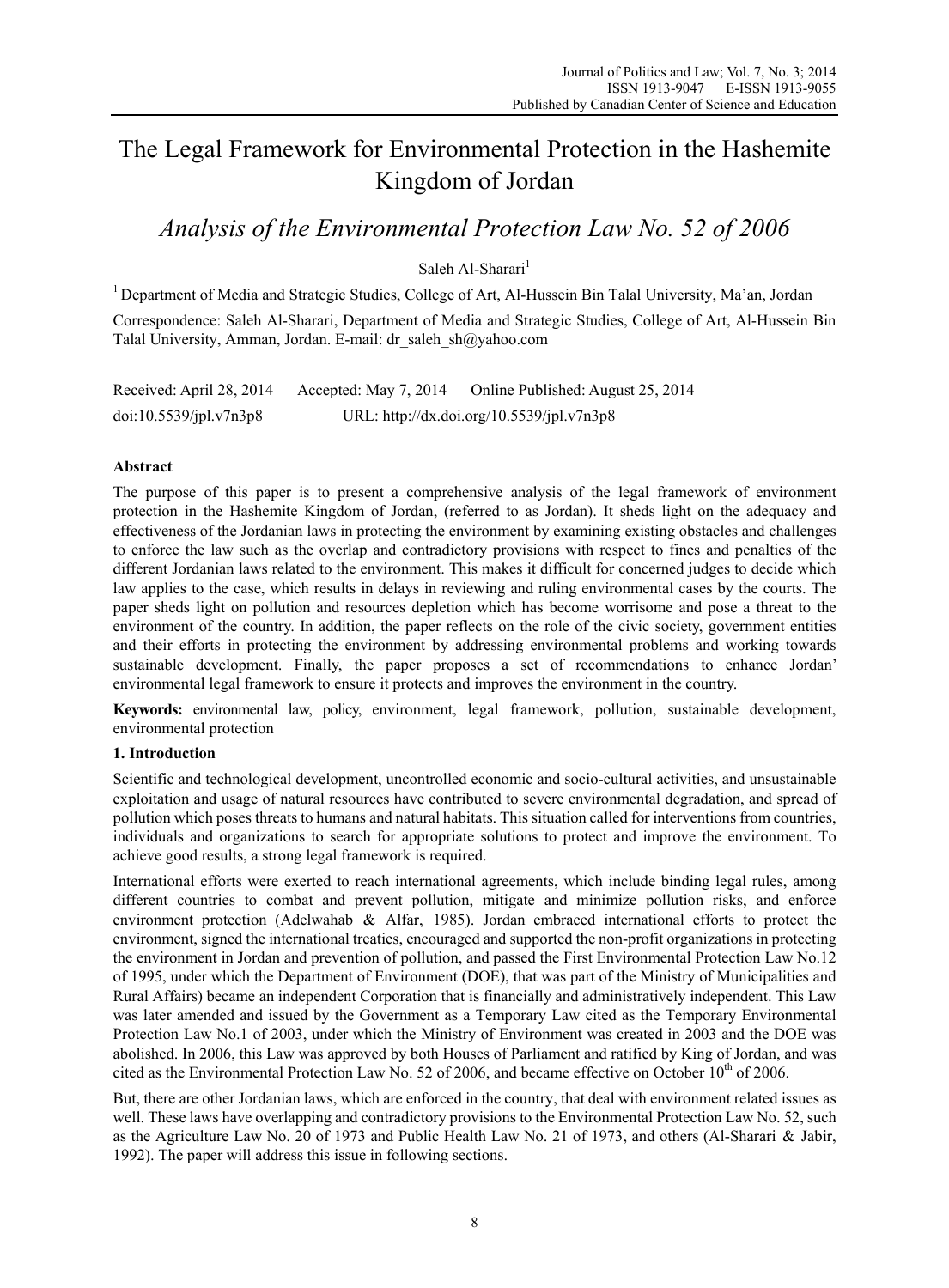# The Legal Framework for Environmental Protection in the Hashemite Kingdom of Jordan

## *Analysis of the Environmental Protection Law No. 52 of 2006*

Saleh Al-Sharari<sup>1</sup>

<sup>1</sup> Department of Media and Strategic Studies, College of Art, Al-Hussein Bin Talal University, Ma'an, Jordan Correspondence: Saleh Al-Sharari, Department of Media and Strategic Studies, College of Art, Al-Hussein Bin Talal University, Amman, Jordan. E-mail: dr\_saleh\_sh@yahoo.com

| Received: April 28, 2014 | Accepted: May 7, 2014                     | Online Published: August 25, 2014 |
|--------------------------|-------------------------------------------|-----------------------------------|
| doi:10.5539/ipl.v7n3p8   | URL: http://dx.doi.org/10.5539/jpl.v7n3p8 |                                   |

## **Abstract**

The purpose of this paper is to present a comprehensive analysis of the legal framework of environment protection in the Hashemite Kingdom of Jordan, (referred to as Jordan). It sheds light on the adequacy and effectiveness of the Jordanian laws in protecting the environment by examining existing obstacles and challenges to enforce the law such as the overlap and contradictory provisions with respect to fines and penalties of the different Jordanian laws related to the environment. This makes it difficult for concerned judges to decide which law applies to the case, which results in delays in reviewing and ruling environmental cases by the courts. The paper sheds light on pollution and resources depletion which has become worrisome and pose a threat to the environment of the country. In addition, the paper reflects on the role of the civic society, government entities and their efforts in protecting the environment by addressing environmental problems and working towards sustainable development. Finally, the paper proposes a set of recommendations to enhance Jordan' environmental legal framework to ensure it protects and improves the environment in the country.

**Keywords:** environmental law, policy, environment, legal framework, pollution, sustainable development, environmental protection

## **1. Introduction**

Scientific and technological development, uncontrolled economic and socio-cultural activities, and unsustainable exploitation and usage of natural resources have contributed to severe environmental degradation, and spread of pollution which poses threats to humans and natural habitats. This situation called for interventions from countries, individuals and organizations to search for appropriate solutions to protect and improve the environment. To achieve good results, a strong legal framework is required.

International efforts were exerted to reach international agreements, which include binding legal rules, among different countries to combat and prevent pollution, mitigate and minimize pollution risks, and enforce environment protection (Adelwahab & Alfar, 1985). Jordan embraced international efforts to protect the environment, signed the international treaties, encouraged and supported the non-profit organizations in protecting the environment in Jordan and prevention of pollution, and passed the First Environmental Protection Law No.12 of 1995, under which the Department of Environment (DOE), that was part of the Ministry of Municipalities and Rural Affairs) became an independent Corporation that is financially and administratively independent. This Law was later amended and issued by the Government as a Temporary Law cited as the Temporary Environmental Protection Law No.1 of 2003, under which the Ministry of Environment was created in 2003 and the DOE was abolished. In 2006, this Law was approved by both Houses of Parliament and ratified by King of Jordan, and was cited as the Environmental Protection Law No. 52 of 2006, and became effective on October  $10^{th}$  of 2006.

But, there are other Jordanian laws, which are enforced in the country, that deal with environment related issues as well. These laws have overlapping and contradictory provisions to the Environmental Protection Law No. 52, such as the Agriculture Law No. 20 of 1973 and Public Health Law No. 21 of 1973, and others (Al-Sharari & Jabir, 1992). The paper will address this issue in following sections.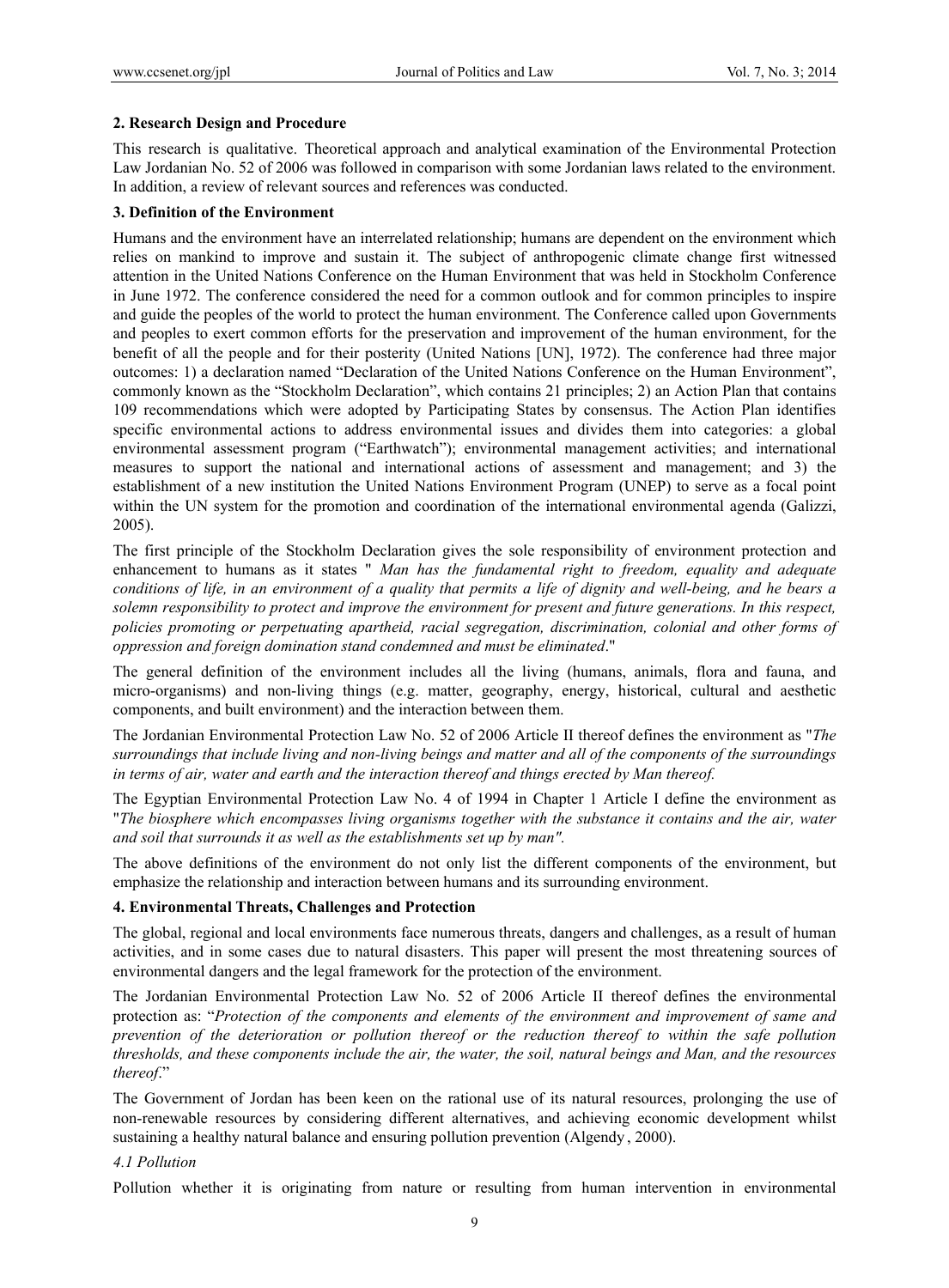#### **2. Research Design and Procedure**

This research is qualitative. Theoretical approach and analytical examination of the Environmental Protection Law Jordanian No. 52 of 2006 was followed in comparison with some Jordanian laws related to the environment. In addition, a review of relevant sources and references was conducted.

#### **3. Definition of the Environment**

Humans and the environment have an interrelated relationship; humans are dependent on the environment which relies on mankind to improve and sustain it. The subject of anthropogenic climate change first witnessed attention in the United Nations Conference on the Human Environment that was held in Stockholm Conference in June 1972. The conference considered the need for a common outlook and for common principles to inspire and guide the peoples of the world to protect the human environment. The Conference called upon Governments and peoples to exert common efforts for the preservation and improvement of the human environment, for the benefit of all the people and for their posterity (United Nations [UN], 1972). The conference had three major outcomes: 1) a declaration named "Declaration of the United Nations Conference on the Human Environment", commonly known as the "Stockholm Declaration", which contains 21 principles; 2) an Action Plan that contains 109 recommendations which were adopted by Participating States by consensus. The Action Plan identifies specific environmental actions to address environmental issues and divides them into categories: a global environmental assessment program ("Earthwatch"); environmental management activities; and international measures to support the national and international actions of assessment and management; and 3) the establishment of a new institution the United Nations Environment Program (UNEP) to serve as a focal point within the UN system for the promotion and coordination of the international environmental agenda (Galizzi, 2005).

The first principle of the Stockholm Declaration gives the sole responsibility of environment protection and enhancement to humans as it states " *Man has the fundamental right to freedom, equality and adequate conditions of life, in an environment of a quality that permits a life of dignity and well-being, and he bears a solemn responsibility to protect and improve the environment for present and future generations. In this respect, policies promoting or perpetuating apartheid, racial segregation, discrimination, colonial and other forms of oppression and foreign domination stand condemned and must be eliminated*."

The general definition of the environment includes all the living (humans, animals, flora and fauna, and micro-organisms) and non-living things (e.g. matter, geography, energy, historical, cultural and aesthetic components, and built environment) and the interaction between them.

The Jordanian Environmental Protection Law No. 52 of 2006 Article II thereof defines the environment as "*The surroundings that include living and non-living beings and matter and all of the components of the surroundings in terms of air, water and earth and the interaction thereof and things erected by Man thereof.* 

The Egyptian Environmental Protection Law No. 4 of 1994 in Chapter 1 Article I define the environment as "*The biosphere which encompasses living organisms together with the substance it contains and the air, water and soil that surrounds it as well as the establishments set up by man".* 

The above definitions of the environment do not only list the different components of the environment, but emphasize the relationship and interaction between humans and its surrounding environment.

#### **4. Environmental Threats, Challenges and Protection**

The global, regional and local environments face numerous threats, dangers and challenges, as a result of human activities, and in some cases due to natural disasters. This paper will present the most threatening sources of environmental dangers and the legal framework for the protection of the environment.

The Jordanian Environmental Protection Law No. 52 of 2006 Article II thereof defines the environmental protection as: "*Protection of the components and elements of the environment and improvement of same and prevention of the deterioration or pollution thereof or the reduction thereof to within the safe pollution thresholds, and these components include the air, the water, the soil, natural beings and Man, and the resources thereof*."

The Government of Jordan has been keen on the rational use of its natural resources, prolonging the use of non-renewable resources by considering different alternatives, and achieving economic development whilst sustaining a healthy natural balance and ensuring pollution prevention (Algendy, 2000).

#### *4.1 Pollution*

Pollution whether it is originating from nature or resulting from human intervention in environmental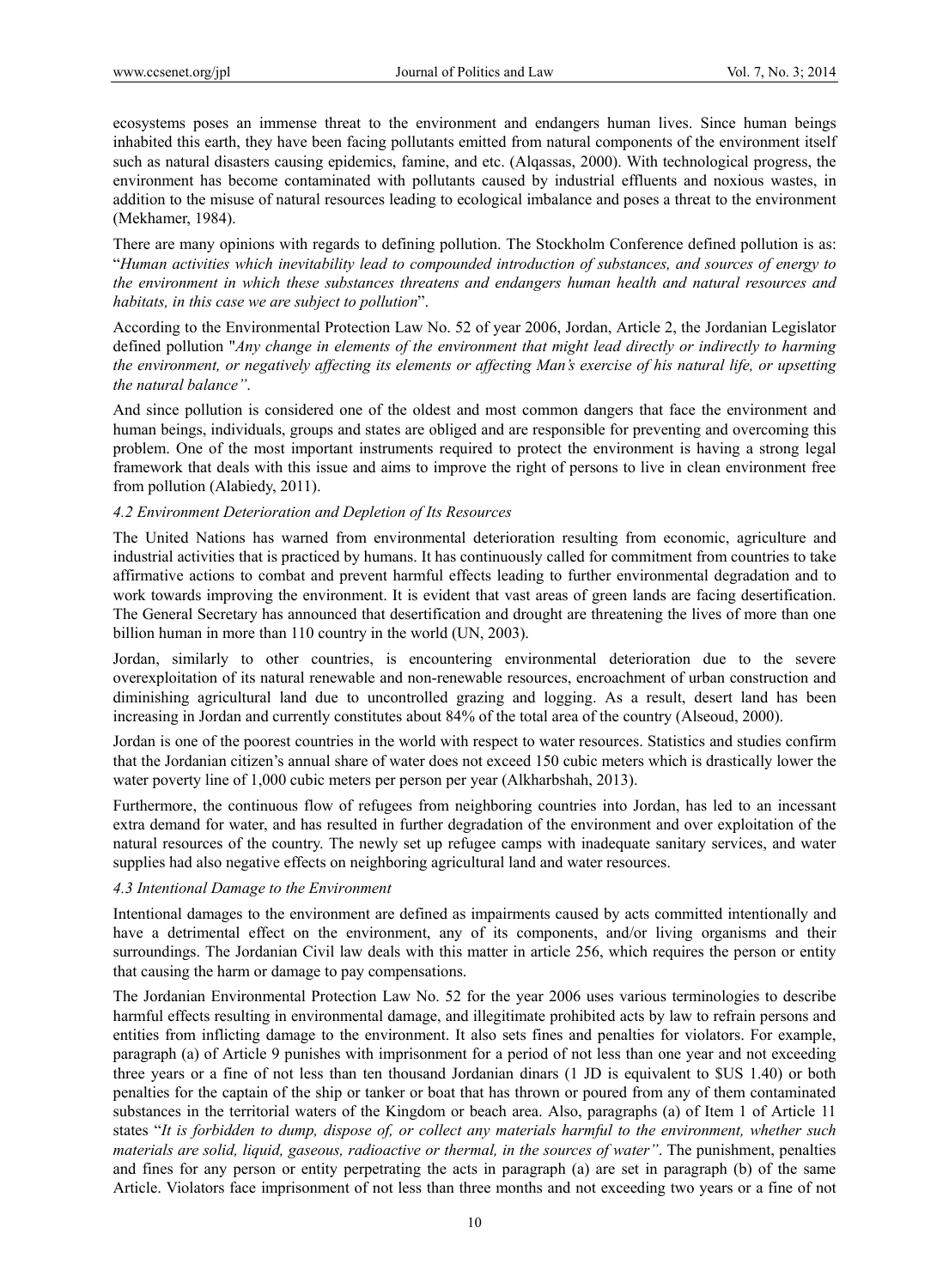ecosystems poses an immense threat to the environment and endangers human lives. Since human beings inhabited this earth, they have been facing pollutants emitted from natural components of the environment itself such as natural disasters causing epidemics, famine, and etc. (Alqassas, 2000). With technological progress, the environment has become contaminated with pollutants caused by industrial effluents and noxious wastes, in addition to the misuse of natural resources leading to ecological imbalance and poses a threat to the environment (Mekhamer, 1984).

There are many opinions with regards to defining pollution. The Stockholm Conference defined pollution is as: "*Human activities which inevitability lead to compounded introduction of substances, and sources of energy to the environment in which these substances threatens and endangers human health and natural resources and habitats, in this case we are subject to pollution*".

According to the Environmental Protection Law No. 52 of year 2006, Jordan, Article 2, the Jordanian Legislator defined pollution "*Any change in elements of the environment that might lead directly or indirectly to harming the environment, or negatively affecting its elements or affecting Man's exercise of his natural life, or upsetting the natural balance"*.

And since pollution is considered one of the oldest and most common dangers that face the environment and human beings, individuals, groups and states are obliged and are responsible for preventing and overcoming this problem. One of the most important instruments required to protect the environment is having a strong legal framework that deals with this issue and aims to improve the right of persons to live in clean environment free from pollution (Alabiedy, 2011).

#### *4.2 Environment Deterioration and Depletion of Its Resources*

The United Nations has warned from environmental deterioration resulting from economic, agriculture and industrial activities that is practiced by humans. It has continuously called for commitment from countries to take affirmative actions to combat and prevent harmful effects leading to further environmental degradation and to work towards improving the environment. It is evident that vast areas of green lands are facing desertification. The General Secretary has announced that desertification and drought are threatening the lives of more than one billion human in more than 110 country in the world (UN, 2003).

Jordan, similarly to other countries, is encountering environmental deterioration due to the severe overexploitation of its natural renewable and non-renewable resources, encroachment of urban construction and diminishing agricultural land due to uncontrolled grazing and logging. As a result, desert land has been increasing in Jordan and currently constitutes about 84% of the total area of the country (Alseoud, 2000).

Jordan is one of the poorest countries in the world with respect to water resources. Statistics and studies confirm that the Jordanian citizen's annual share of water does not exceed 150 cubic meters which is drastically lower the water poverty line of 1,000 cubic meters per person per year (Alkharbshah, 2013).

Furthermore, the continuous flow of refugees from neighboring countries into Jordan, has led to an incessant extra demand for water, and has resulted in further degradation of the environment and over exploitation of the natural resources of the country. The newly set up refugee camps with inadequate sanitary services, and water supplies had also negative effects on neighboring agricultural land and water resources.

#### *4.3 Intentional Damage to the Environment*

Intentional damages to the environment are defined as impairments caused by acts committed intentionally and have a detrimental effect on the environment, any of its components, and/or living organisms and their surroundings. The Jordanian Civil law deals with this matter in article 256, which requires the person or entity that causing the harm or damage to pay compensations.

The Jordanian Environmental Protection Law No. 52 for the year 2006 uses various terminologies to describe harmful effects resulting in environmental damage, and illegitimate prohibited acts by law to refrain persons and entities from inflicting damage to the environment. It also sets fines and penalties for violators. For example, paragraph (a) of Article 9 punishes with imprisonment for a period of not less than one year and not exceeding three years or a fine of not less than ten thousand Jordanian dinars (1 JD is equivalent to \$US 1.40) or both penalties for the captain of the ship or tanker or boat that has thrown or poured from any of them contaminated substances in the territorial waters of the Kingdom or beach area. Also, paragraphs (a) of Item 1 of Article 11 states "*It is forbidden to dump, dispose of, or collect any materials harmful to the environment, whether such materials are solid, liquid, gaseous, radioactive or thermal, in the sources of water"*. The punishment, penalties and fines for any person or entity perpetrating the acts in paragraph (a) are set in paragraph (b) of the same Article. Violators face imprisonment of not less than three months and not exceeding two years or a fine of not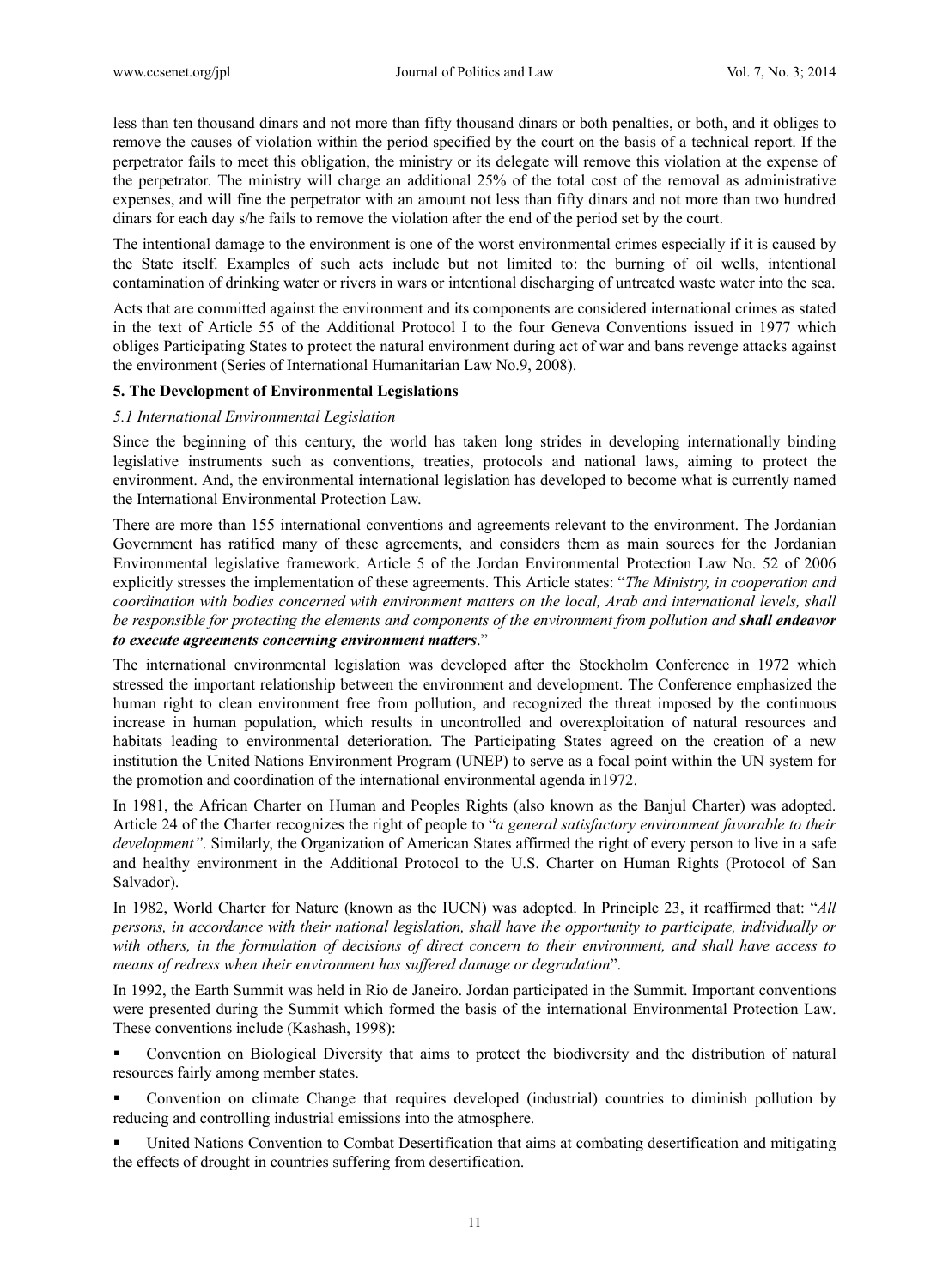less than ten thousand dinars and not more than fifty thousand dinars or both penalties, or both, and it obliges to remove the causes of violation within the period specified by the court on the basis of a technical report. If the perpetrator fails to meet this obligation, the ministry or its delegate will remove this violation at the expense of the perpetrator. The ministry will charge an additional 25% of the total cost of the removal as administrative expenses, and will fine the perpetrator with an amount not less than fifty dinars and not more than two hundred dinars for each day s/he fails to remove the violation after the end of the period set by the court.

The intentional damage to the environment is one of the worst environmental crimes especially if it is caused by the State itself. Examples of such acts include but not limited to: the burning of oil wells, intentional contamination of drinking water or rivers in wars or intentional discharging of untreated waste water into the sea.

Acts that are committed against the environment and its components are considered international crimes as stated in the text of Article 55 of the Additional Protocol I to the four Geneva Conventions issued in 1977 which obliges Participating States to protect the natural environment during act of war and bans revenge attacks against the environment (Series of International Humanitarian Law No.9, 2008).

#### **5. The Development of Environmental Legislations**

#### *5.1 International Environmental Legislation*

Since the beginning of this century, the world has taken long strides in developing internationally binding legislative instruments such as conventions, treaties, protocols and national laws, aiming to protect the environment. And, the environmental international legislation has developed to become what is currently named the International Environmental Protection Law.

There are more than 155 international conventions and agreements relevant to the environment. The Jordanian Government has ratified many of these agreements, and considers them as main sources for the Jordanian Environmental legislative framework. Article 5 of the Jordan Environmental Protection Law No. 52 of 2006 explicitly stresses the implementation of these agreements. This Article states: "*The Ministry, in cooperation and coordination with bodies concerned with environment matters on the local, Arab and international levels, shall be responsible for protecting the elements and components of the environment from pollution and shall endeavor to execute agreements concerning environment matters*."

The international environmental legislation was developed after the Stockholm Conference in 1972 which stressed the important relationship between the environment and development. The Conference emphasized the human right to clean environment free from pollution, and recognized the threat imposed by the continuous increase in human population, which results in uncontrolled and overexploitation of natural resources and habitats leading to environmental deterioration. The Participating States agreed on the creation of a new institution the United Nations Environment Program (UNEP) to serve as a focal point within the UN system for the promotion and coordination of the international environmental agenda in1972.

In 1981, the African Charter on Human and Peoples Rights (also known as the Banjul Charter) was adopted. Article 24 of the Charter recognizes the right of people to "*a general satisfactory environment favorable to their development"*. Similarly, the Organization of American States affirmed the right of every person to live in a safe and healthy environment in the Additional Protocol to the U.S. Charter on Human Rights (Protocol of San Salvador).

In 1982, World Charter for Nature (known as the IUCN) was adopted. In Principle 23, it reaffirmed that: "*All persons, in accordance with their national legislation, shall have the opportunity to participate, individually or with others, in the formulation of decisions of direct concern to their environment, and shall have access to means of redress when their environment has suffered damage or degradation*".

In 1992, the Earth Summit was held in Rio de Janeiro. Jordan participated in the Summit. Important conventions were presented during the Summit which formed the basis of the international Environmental Protection Law. These conventions include (Kashash, 1998):

- Convention on Biological Diversity that aims to protect the biodiversity and the distribution of natural resources fairly among member states.
- Convention on climate Change that requires developed (industrial) countries to diminish pollution by reducing and controlling industrial emissions into the atmosphere.
- United Nations Convention to Combat Desertification that aims at combating desertification and mitigating the effects of drought in countries suffering from desertification.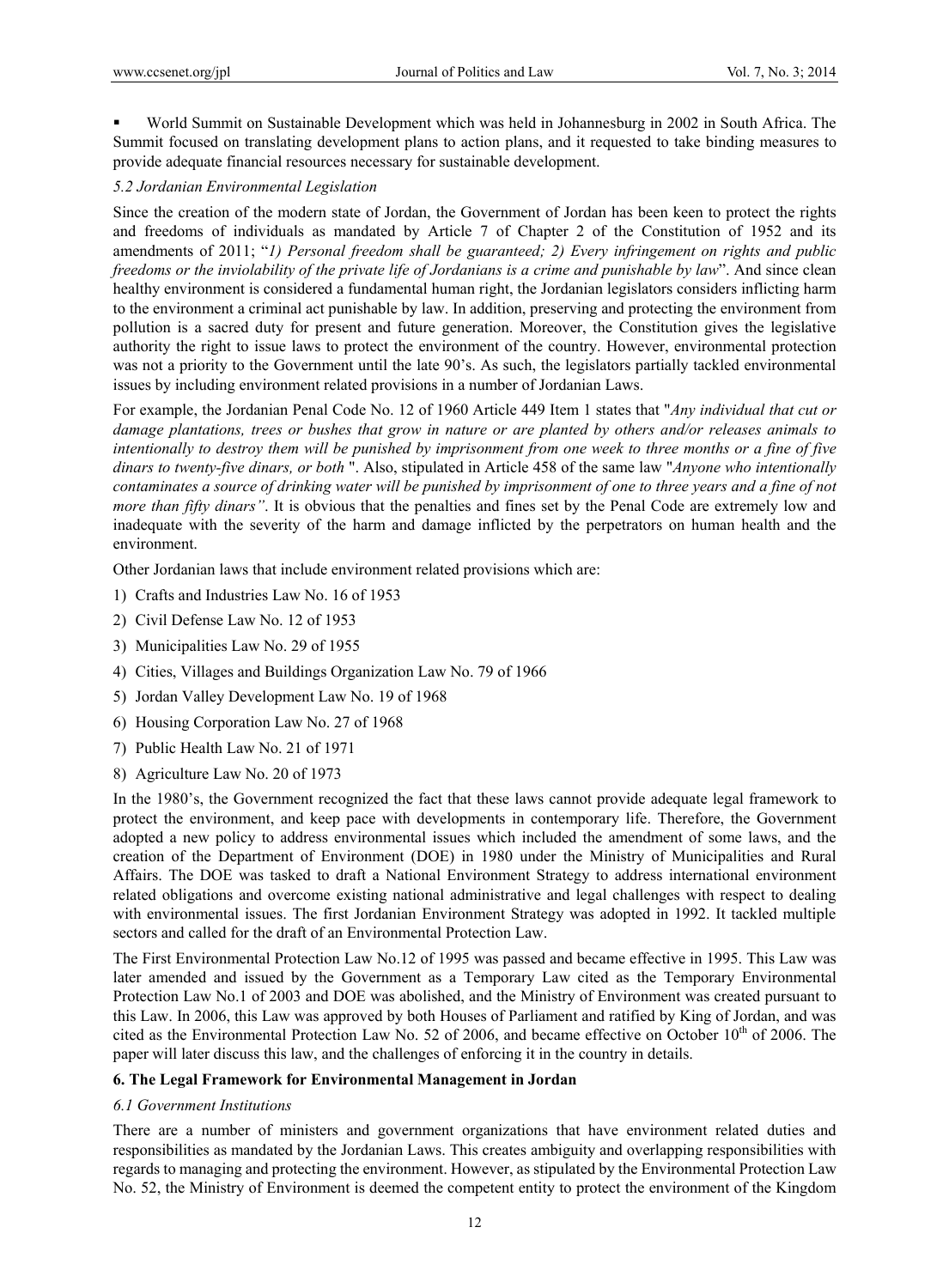World Summit on Sustainable Development which was held in Johannesburg in 2002 in South Africa. The Summit focused on translating development plans to action plans, and it requested to take binding measures to provide adequate financial resources necessary for sustainable development.

#### *5.2 Jordanian Environmental Legislation*

Since the creation of the modern state of Jordan, the Government of Jordan has been keen to protect the rights and freedoms of individuals as mandated by Article 7 of Chapter 2 of the Constitution of 1952 and its amendments of 2011; "*1) Personal freedom shall be guaranteed; 2) Every infringement on rights and public freedoms or the inviolability of the private life of Jordanians is a crime and punishable by law*". And since clean healthy environment is considered a fundamental human right, the Jordanian legislators considers inflicting harm to the environment a criminal act punishable by law. In addition, preserving and protecting the environment from pollution is a sacred duty for present and future generation. Moreover, the Constitution gives the legislative authority the right to issue laws to protect the environment of the country. However, environmental protection was not a priority to the Government until the late 90's. As such, the legislators partially tackled environmental issues by including environment related provisions in a number of Jordanian Laws.

For example, the Jordanian Penal Code No. 12 of 1960 Article 449 Item 1 states that "*Any individual that cut or damage plantations, trees or bushes that grow in nature or are planted by others and/or releases animals to intentionally to destroy them will be punished by imprisonment from one week to three months or a fine of five dinars to twenty-five dinars, or both* ". Also, stipulated in Article 458 of the same law "*Anyone who intentionally contaminates a source of drinking water will be punished by imprisonment of one to three years and a fine of not more than fifty dinars"*. It is obvious that the penalties and fines set by the Penal Code are extremely low and inadequate with the severity of the harm and damage inflicted by the perpetrators on human health and the environment.

Other Jordanian laws that include environment related provisions which are:

- 1) Crafts and Industries Law No. 16 of 1953
- 2) Civil Defense Law No. 12 of 1953
- 3) Municipalities Law No. 29 of 1955
- 4) Cities, Villages and Buildings Organization Law No. 79 of 1966
- 5) Jordan Valley Development Law No. 19 of 1968
- 6) Housing Corporation Law No. 27 of 1968
- 7) Public Health Law No. 21 of 1971
- 8) Agriculture Law No. 20 of 1973

In the 1980's, the Government recognized the fact that these laws cannot provide adequate legal framework to protect the environment, and keep pace with developments in contemporary life. Therefore, the Government adopted a new policy to address environmental issues which included the amendment of some laws, and the creation of the Department of Environment (DOE) in 1980 under the Ministry of Municipalities and Rural Affairs. The DOE was tasked to draft a National Environment Strategy to address international environment related obligations and overcome existing national administrative and legal challenges with respect to dealing with environmental issues. The first Jordanian Environment Strategy was adopted in 1992. It tackled multiple sectors and called for the draft of an Environmental Protection Law.

The First Environmental Protection Law No.12 of 1995 was passed and became effective in 1995. This Law was later amended and issued by the Government as a Temporary Law cited as the Temporary Environmental Protection Law No.1 of 2003 and DOE was abolished, and the Ministry of Environment was created pursuant to this Law. In 2006, this Law was approved by both Houses of Parliament and ratified by King of Jordan, and was cited as the Environmental Protection Law No. 52 of 2006, and became effective on October  $10<sup>th</sup>$  of 2006. The paper will later discuss this law, and the challenges of enforcing it in the country in details.

#### **6. The Legal Framework for Environmental Management in Jordan**

#### *6.1 Government Institutions*

There are a number of ministers and government organizations that have environment related duties and responsibilities as mandated by the Jordanian Laws. This creates ambiguity and overlapping responsibilities with regards to managing and protecting the environment. However, as stipulated by the Environmental Protection Law No. 52, the Ministry of Environment is deemed the competent entity to protect the environment of the Kingdom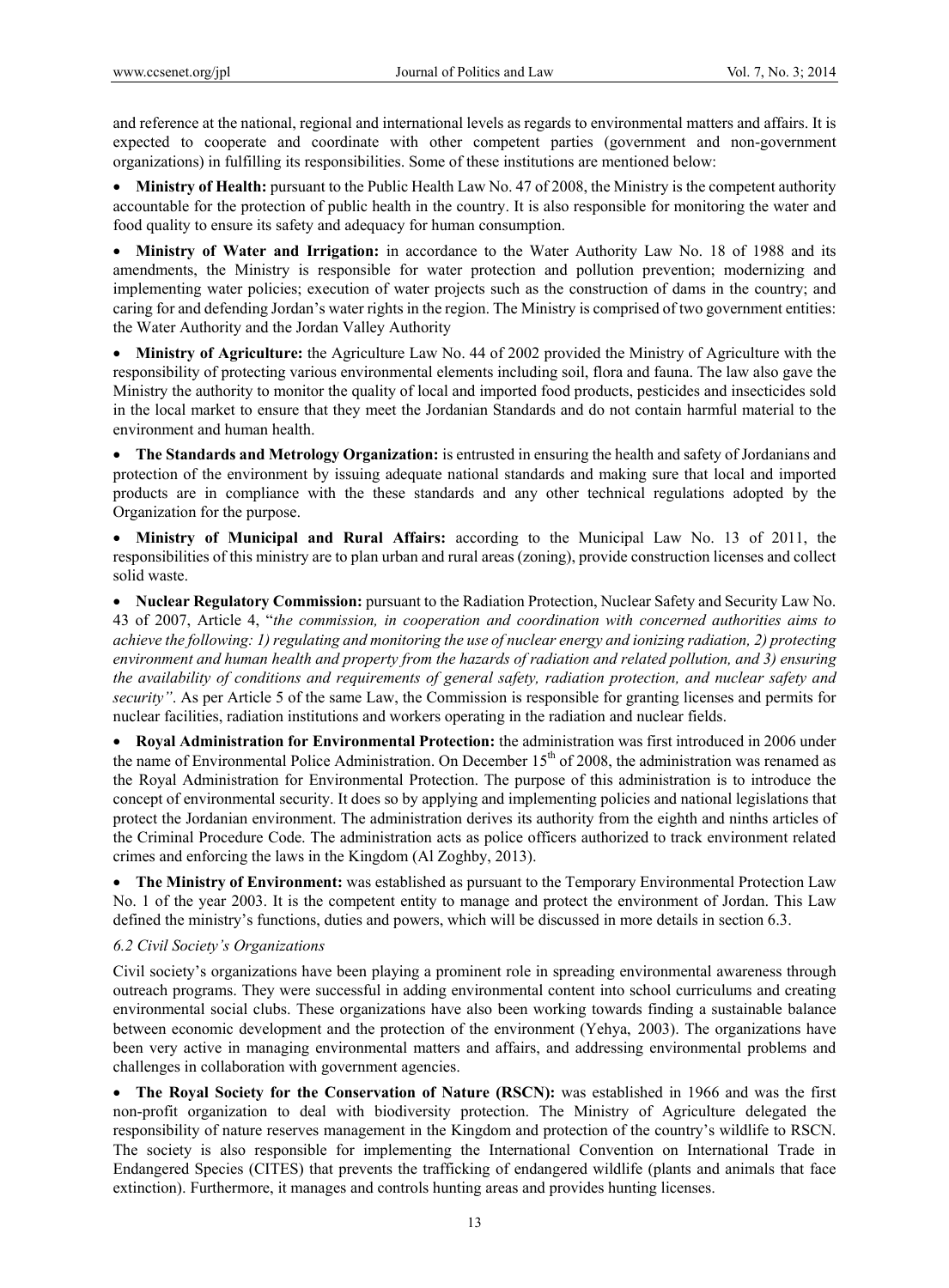and reference at the national, regional and international levels as regards to environmental matters and affairs. It is expected to cooperate and coordinate with other competent parties (government and non-government organizations) in fulfilling its responsibilities. Some of these institutions are mentioned below:

 **Ministry of Health:** pursuant to the Public Health Law No. 47 of 2008, the Ministry is the competent authority accountable for the protection of public health in the country. It is also responsible for monitoring the water and food quality to ensure its safety and adequacy for human consumption.

 **Ministry of Water and Irrigation:** in accordance to the Water Authority Law No. 18 of 1988 and its amendments, the Ministry is responsible for water protection and pollution prevention; modernizing and implementing water policies; execution of water projects such as the construction of dams in the country; and caring for and defending Jordan's water rights in the region. The Ministry is comprised of two government entities: the Water Authority and the Jordan Valley Authority

 **Ministry of Agriculture:** the Agriculture Law No. 44 of 2002 provided the Ministry of Agriculture with the responsibility of protecting various environmental elements including soil, flora and fauna. The law also gave the Ministry the authority to monitor the quality of local and imported food products, pesticides and insecticides sold in the local market to ensure that they meet the Jordanian Standards and do not contain harmful material to the environment and human health.

 **The Standards and Metrology Organization:** is entrusted in ensuring the health and safety of Jordanians and protection of the environment by issuing adequate national standards and making sure that local and imported products are in compliance with the these standards and any other technical regulations adopted by the Organization for the purpose.

 **Ministry of Municipal and Rural Affairs:** according to the Municipal Law No. 13 of 2011, the responsibilities of this ministry are to plan urban and rural areas (zoning), provide construction licenses and collect solid waste.

 **Nuclear Regulatory Commission:** pursuant to the Radiation Protection, Nuclear Safety and Security Law No. 43 of 2007, Article 4, "*the commission, in cooperation and coordination with concerned authorities aims to achieve the following: 1) regulating and monitoring the use of nuclear energy and ionizing radiation, 2) protecting environment and human health and property from the hazards of radiation and related pollution, and 3) ensuring the availability of conditions and requirements of general safety, radiation protection, and nuclear safety and security"*. As per Article 5 of the same Law, the Commission is responsible for granting licenses and permits for nuclear facilities, radiation institutions and workers operating in the radiation and nuclear fields.

 **Royal Administration for Environmental Protection:** the administration was first introduced in 2006 under the name of Environmental Police Administration. On December  $15<sup>th</sup>$  of 2008, the administration was renamed as the Royal Administration for Environmental Protection. The purpose of this administration is to introduce the concept of environmental security. It does so by applying and implementing policies and national legislations that protect the Jordanian environment. The administration derives its authority from the eighth and ninths articles of the Criminal Procedure Code. The administration acts as police officers authorized to track environment related crimes and enforcing the laws in the Kingdom (Al Zoghby, 2013).

 **The Ministry of Environment:** was established as pursuant to the Temporary Environmental Protection Law No. 1 of the year 2003. It is the competent entity to manage and protect the environment of Jordan. This Law defined the ministry's functions, duties and powers, which will be discussed in more details in section 6.3.

## *6.2 Civil Society's Organizations*

Civil society's organizations have been playing a prominent role in spreading environmental awareness through outreach programs. They were successful in adding environmental content into school curriculums and creating environmental social clubs. These organizations have also been working towards finding a sustainable balance between economic development and the protection of the environment (Yehya, 2003). The organizations have been very active in managing environmental matters and affairs, and addressing environmental problems and challenges in collaboration with government agencies.

 **The Royal Society for the Conservation of Nature (RSCN):** was established in 1966 and was the first non-profit organization to deal with biodiversity protection. The Ministry of Agriculture delegated the responsibility of nature reserves management in the Kingdom and protection of the country's wildlife to RSCN. The society is also responsible for implementing the International Convention on International Trade in Endangered Species (CITES) that prevents the trafficking of endangered wildlife (plants and animals that face extinction). Furthermore, it manages and controls hunting areas and provides hunting licenses.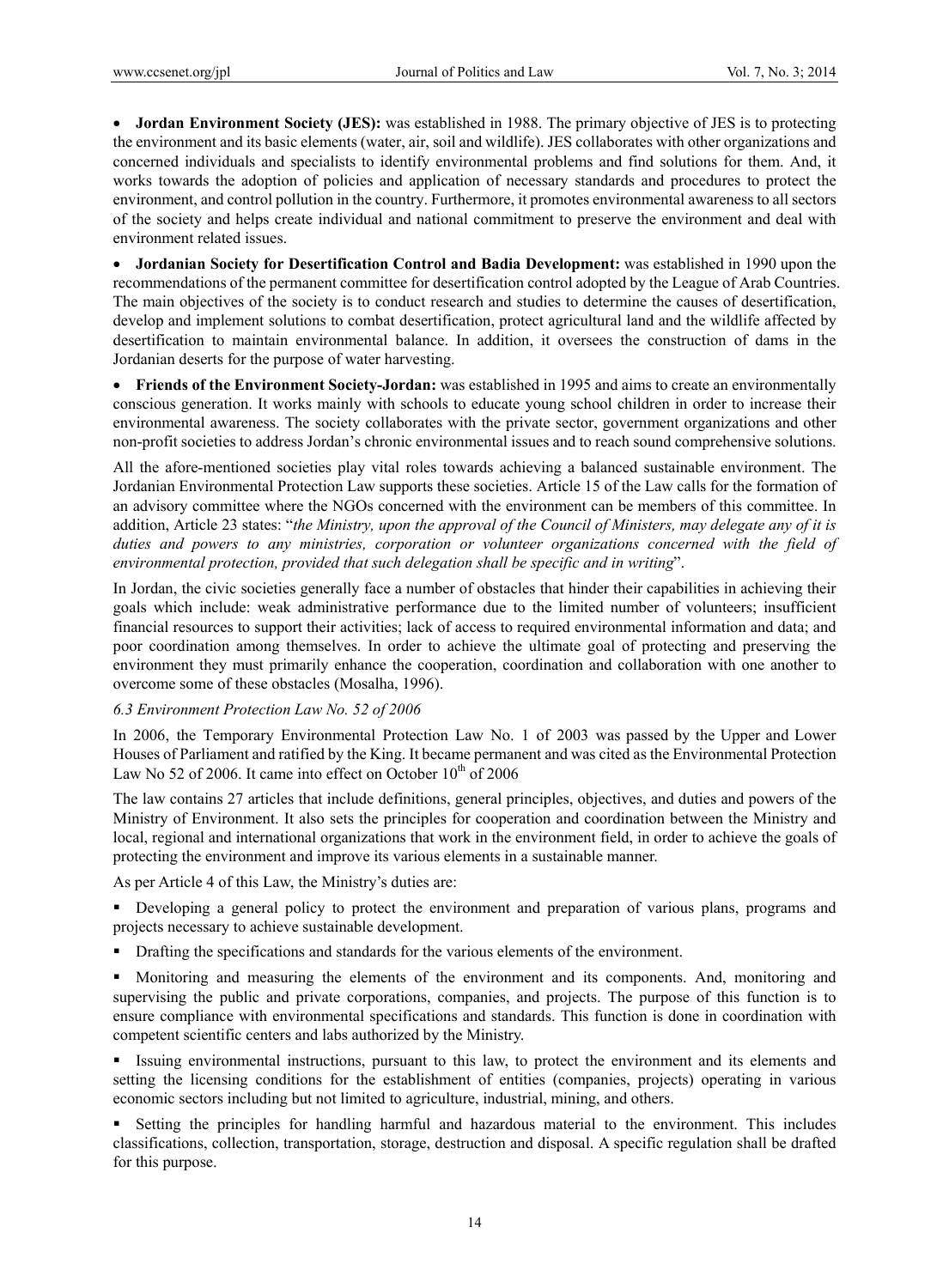**Jordan Environment Society (JES):** was established in 1988. The primary objective of JES is to protecting the environment and its basic elements (water, air, soil and wildlife). JES collaborates with other organizations and concerned individuals and specialists to identify environmental problems and find solutions for them. And, it works towards the adoption of policies and application of necessary standards and procedures to protect the environment, and control pollution in the country. Furthermore, it promotes environmental awareness to all sectors of the society and helps create individual and national commitment to preserve the environment and deal with environment related issues.

 **Jordanian Society for Desertification Control and Badia Development:** was established in 1990 upon the recommendations of the permanent committee for desertification control adopted by the League of Arab Countries. The main objectives of the society is to conduct research and studies to determine the causes of desertification, develop and implement solutions to combat desertification, protect agricultural land and the wildlife affected by desertification to maintain environmental balance. In addition, it oversees the construction of dams in the Jordanian deserts for the purpose of water harvesting.

 **Friends of the Environment Society-Jordan:** was established in 1995 and aims to create an environmentally conscious generation. It works mainly with schools to educate young school children in order to increase their environmental awareness. The society collaborates with the private sector, government organizations and other non-profit societies to address Jordan's chronic environmental issues and to reach sound comprehensive solutions.

All the afore-mentioned societies play vital roles towards achieving a balanced sustainable environment. The Jordanian Environmental Protection Law supports these societies. Article 15 of the Law calls for the formation of an advisory committee where the NGOs concerned with the environment can be members of this committee. In addition, Article 23 states: "*the Ministry, upon the approval of the Council of Ministers, may delegate any of it is duties and powers to any ministries, corporation or volunteer organizations concerned with the field of environmental protection, provided that such delegation shall be specific and in writing*".

In Jordan, the civic societies generally face a number of obstacles that hinder their capabilities in achieving their goals which include: weak administrative performance due to the limited number of volunteers; insufficient financial resources to support their activities; lack of access to required environmental information and data; and poor coordination among themselves. In order to achieve the ultimate goal of protecting and preserving the environment they must primarily enhance the cooperation, coordination and collaboration with one another to overcome some of these obstacles (Mosalha, 1996).

#### *6.3 Environment Protection Law No. 52 of 2006*

In 2006, the Temporary Environmental Protection Law No. 1 of 2003 was passed by the Upper and Lower Houses of Parliament and ratified by the King. It became permanent and was cited as the Environmental Protection Law No 52 of 2006. It came into effect on October  $10^{th}$  of 2006

The law contains 27 articles that include definitions, general principles, objectives, and duties and powers of the Ministry of Environment. It also sets the principles for cooperation and coordination between the Ministry and local, regional and international organizations that work in the environment field, in order to achieve the goals of protecting the environment and improve its various elements in a sustainable manner.

As per Article 4 of this Law, the Ministry's duties are:

 Developing a general policy to protect the environment and preparation of various plans, programs and projects necessary to achieve sustainable development.

Drafting the specifications and standards for the various elements of the environment.

 Monitoring and measuring the elements of the environment and its components. And, monitoring and supervising the public and private corporations, companies, and projects. The purpose of this function is to ensure compliance with environmental specifications and standards. This function is done in coordination with competent scientific centers and labs authorized by the Ministry.

 Issuing environmental instructions, pursuant to this law, to protect the environment and its elements and setting the licensing conditions for the establishment of entities (companies, projects) operating in various economic sectors including but not limited to agriculture, industrial, mining, and others.

 Setting the principles for handling harmful and hazardous material to the environment. This includes classifications, collection, transportation, storage, destruction and disposal. A specific regulation shall be drafted for this purpose.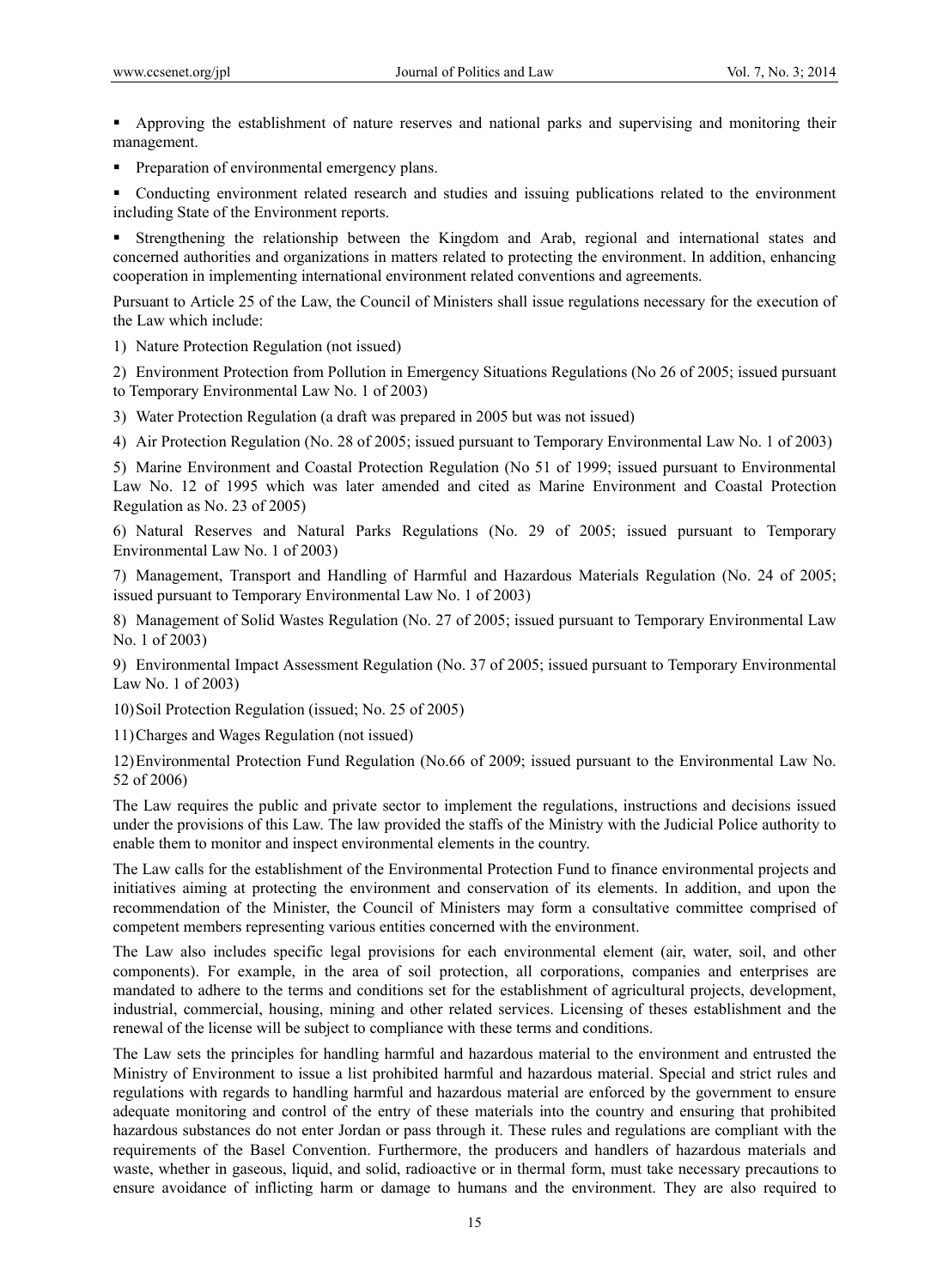Approving the establishment of nature reserves and national parks and supervising and monitoring their management.

Preparation of environmental emergency plans.

 Conducting environment related research and studies and issuing publications related to the environment including State of the Environment reports.

 Strengthening the relationship between the Kingdom and Arab, regional and international states and concerned authorities and organizations in matters related to protecting the environment. In addition, enhancing cooperation in implementing international environment related conventions and agreements.

Pursuant to Article 25 of the Law, the Council of Ministers shall issue regulations necessary for the execution of the Law which include:

1) Nature Protection Regulation (not issued)

2) Environment Protection from Pollution in Emergency Situations Regulations (No 26 of 2005; issued pursuant to Temporary Environmental Law No. 1 of 2003)

3) Water Protection Regulation (a draft was prepared in 2005 but was not issued)

4) Air Protection Regulation (No. 28 of 2005; issued pursuant to Temporary Environmental Law No. 1 of 2003)

5) Marine Environment and Coastal Protection Regulation (No 51 of 1999; issued pursuant to Environmental Law No. 12 of 1995 which was later amended and cited as Marine Environment and Coastal Protection Regulation as No. 23 of 2005)

6) Natural Reserves and Natural Parks Regulations (No. 29 of 2005; issued pursuant to Temporary Environmental Law No. 1 of 2003)

7) Management, Transport and Handling of Harmful and Hazardous Materials Regulation (No. 24 of 2005; issued pursuant to Temporary Environmental Law No. 1 of 2003)

8) Management of Solid Wastes Regulation (No. 27 of 2005; issued pursuant to Temporary Environmental Law No. 1 of 2003)

9) Environmental Impact Assessment Regulation (No. 37 of 2005; issued pursuant to Temporary Environmental Law No. 1 of 2003)

10)Soil Protection Regulation (issued; No. 25 of 2005)

11)Charges and Wages Regulation (not issued)

12)Environmental Protection Fund Regulation (No.66 of 2009; issued pursuant to the Environmental Law No. 52 of 2006)

The Law requires the public and private sector to implement the regulations, instructions and decisions issued under the provisions of this Law. The law provided the staffs of the Ministry with the Judicial Police authority to enable them to monitor and inspect environmental elements in the country.

The Law calls for the establishment of the Environmental Protection Fund to finance environmental projects and initiatives aiming at protecting the environment and conservation of its elements. In addition, and upon the recommendation of the Minister, the Council of Ministers may form a consultative committee comprised of competent members representing various entities concerned with the environment.

The Law also includes specific legal provisions for each environmental element (air, water, soil, and other components). For example, in the area of soil protection, all corporations, companies and enterprises are mandated to adhere to the terms and conditions set for the establishment of agricultural projects, development, industrial, commercial, housing, mining and other related services. Licensing of theses establishment and the renewal of the license will be subject to compliance with these terms and conditions.

The Law sets the principles for handling harmful and hazardous material to the environment and entrusted the Ministry of Environment to issue a list prohibited harmful and hazardous material. Special and strict rules and regulations with regards to handling harmful and hazardous material are enforced by the government to ensure adequate monitoring and control of the entry of these materials into the country and ensuring that prohibited hazardous substances do not enter Jordan or pass through it. These rules and regulations are compliant with the requirements of the Basel Convention. Furthermore, the producers and handlers of hazardous materials and waste, whether in gaseous, liquid, and solid, radioactive or in thermal form, must take necessary precautions to ensure avoidance of inflicting harm or damage to humans and the environment. They are also required to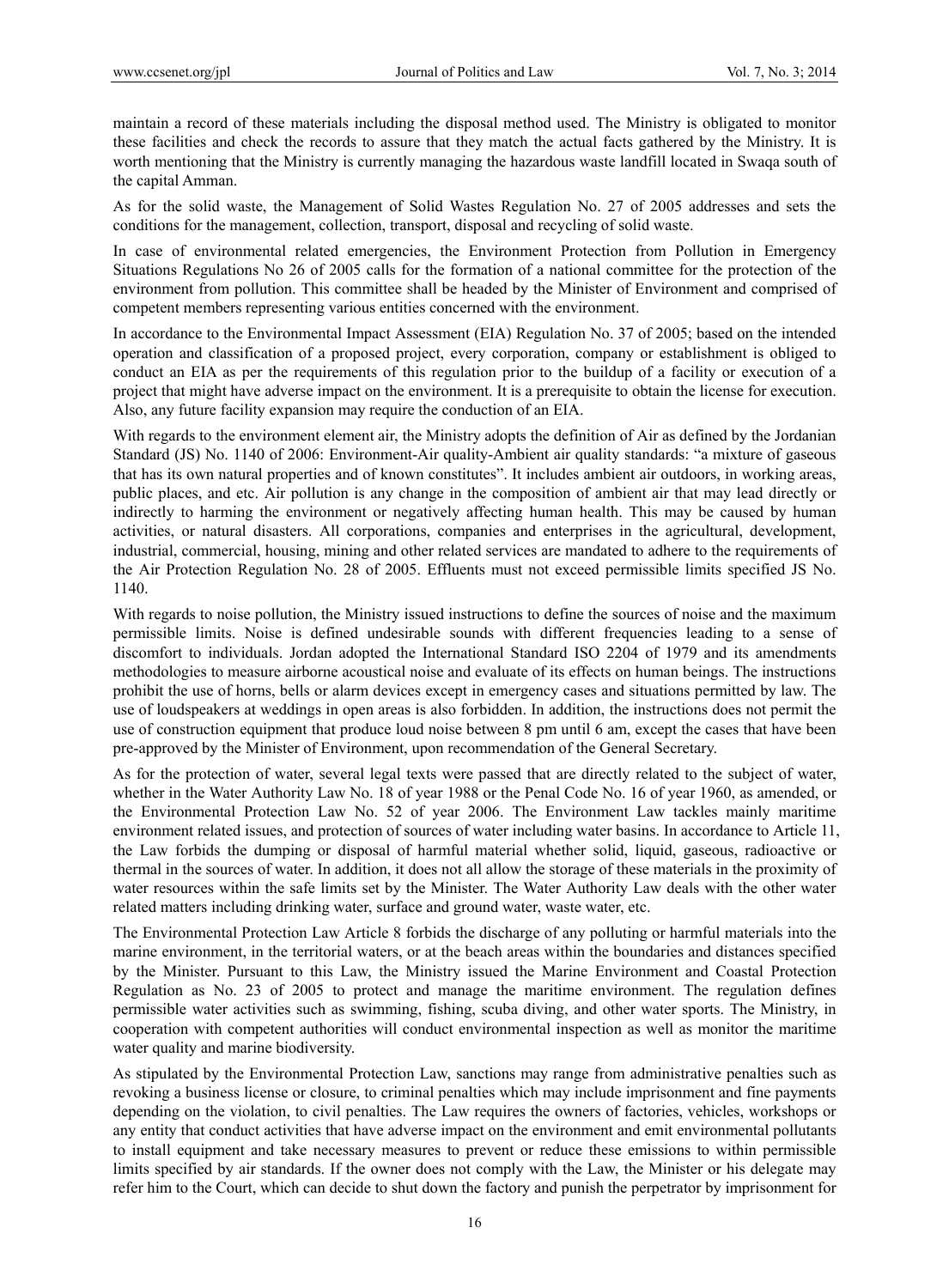maintain a record of these materials including the disposal method used. The Ministry is obligated to monitor these facilities and check the records to assure that they match the actual facts gathered by the Ministry. It is worth mentioning that the Ministry is currently managing the hazardous waste landfill located in Swaqa south of the capital Amman.

As for the solid waste, the Management of Solid Wastes Regulation No. 27 of 2005 addresses and sets the conditions for the management, collection, transport, disposal and recycling of solid waste.

In case of environmental related emergencies, the Environment Protection from Pollution in Emergency Situations Regulations No 26 of 2005 calls for the formation of a national committee for the protection of the environment from pollution. This committee shall be headed by the Minister of Environment and comprised of competent members representing various entities concerned with the environment.

In accordance to the Environmental Impact Assessment (EIA) Regulation No. 37 of 2005; based on the intended operation and classification of a proposed project, every corporation, company or establishment is obliged to conduct an EIA as per the requirements of this regulation prior to the buildup of a facility or execution of a project that might have adverse impact on the environment. It is a prerequisite to obtain the license for execution. Also, any future facility expansion may require the conduction of an EIA.

With regards to the environment element air, the Ministry adopts the definition of Air as defined by the Jordanian Standard (JS) No. 1140 of 2006: Environment-Air quality-Ambient air quality standards: "a mixture of gaseous that has its own natural properties and of known constitutes". It includes ambient air outdoors, in working areas, public places, and etc. Air pollution is any change in the composition of ambient air that may lead directly or indirectly to harming the environment or negatively affecting human health. This may be caused by human activities, or natural disasters. All corporations, companies and enterprises in the agricultural, development, industrial, commercial, housing, mining and other related services are mandated to adhere to the requirements of the Air Protection Regulation No. 28 of 2005. Effluents must not exceed permissible limits specified JS No. 1140.

With regards to noise pollution, the Ministry issued instructions to define the sources of noise and the maximum permissible limits. Noise is defined undesirable sounds with different frequencies leading to a sense of discomfort to individuals. Jordan adopted the International Standard ISO 2204 of 1979 and its amendments methodologies to measure airborne acoustical noise and evaluate of its effects on human beings. The instructions prohibit the use of horns, bells or alarm devices except in emergency cases and situations permitted by law. The use of loudspeakers at weddings in open areas is also forbidden. In addition, the instructions does not permit the use of construction equipment that produce loud noise between 8 pm until 6 am, except the cases that have been pre-approved by the Minister of Environment, upon recommendation of the General Secretary.

As for the protection of water, several legal texts were passed that are directly related to the subject of water, whether in the Water Authority Law No. 18 of year 1988 or the Penal Code No. 16 of year 1960, as amended, or the Environmental Protection Law No. 52 of year 2006. The Environment Law tackles mainly maritime environment related issues, and protection of sources of water including water basins. In accordance to Article 11, the Law forbids the dumping or disposal of harmful material whether solid, liquid, gaseous, radioactive or thermal in the sources of water. In addition, it does not all allow the storage of these materials in the proximity of water resources within the safe limits set by the Minister. The Water Authority Law deals with the other water related matters including drinking water, surface and ground water, waste water, etc.

The Environmental Protection Law Article 8 forbids the discharge of any polluting or harmful materials into the marine environment, in the territorial waters, or at the beach areas within the boundaries and distances specified by the Minister. Pursuant to this Law, the Ministry issued the Marine Environment and Coastal Protection Regulation as No. 23 of 2005 to protect and manage the maritime environment. The regulation defines permissible water activities such as swimming, fishing, scuba diving, and other water sports. The Ministry, in cooperation with competent authorities will conduct environmental inspection as well as monitor the maritime water quality and marine biodiversity.

As stipulated by the Environmental Protection Law, sanctions may range from administrative penalties such as revoking a business license or closure, to criminal penalties which may include imprisonment and fine payments depending on the violation, to civil penalties. The Law requires the owners of factories, vehicles, workshops or any entity that conduct activities that have adverse impact on the environment and emit environmental pollutants to install equipment and take necessary measures to prevent or reduce these emissions to within permissible limits specified by air standards. If the owner does not comply with the Law, the Minister or his delegate may refer him to the Court, which can decide to shut down the factory and punish the perpetrator by imprisonment for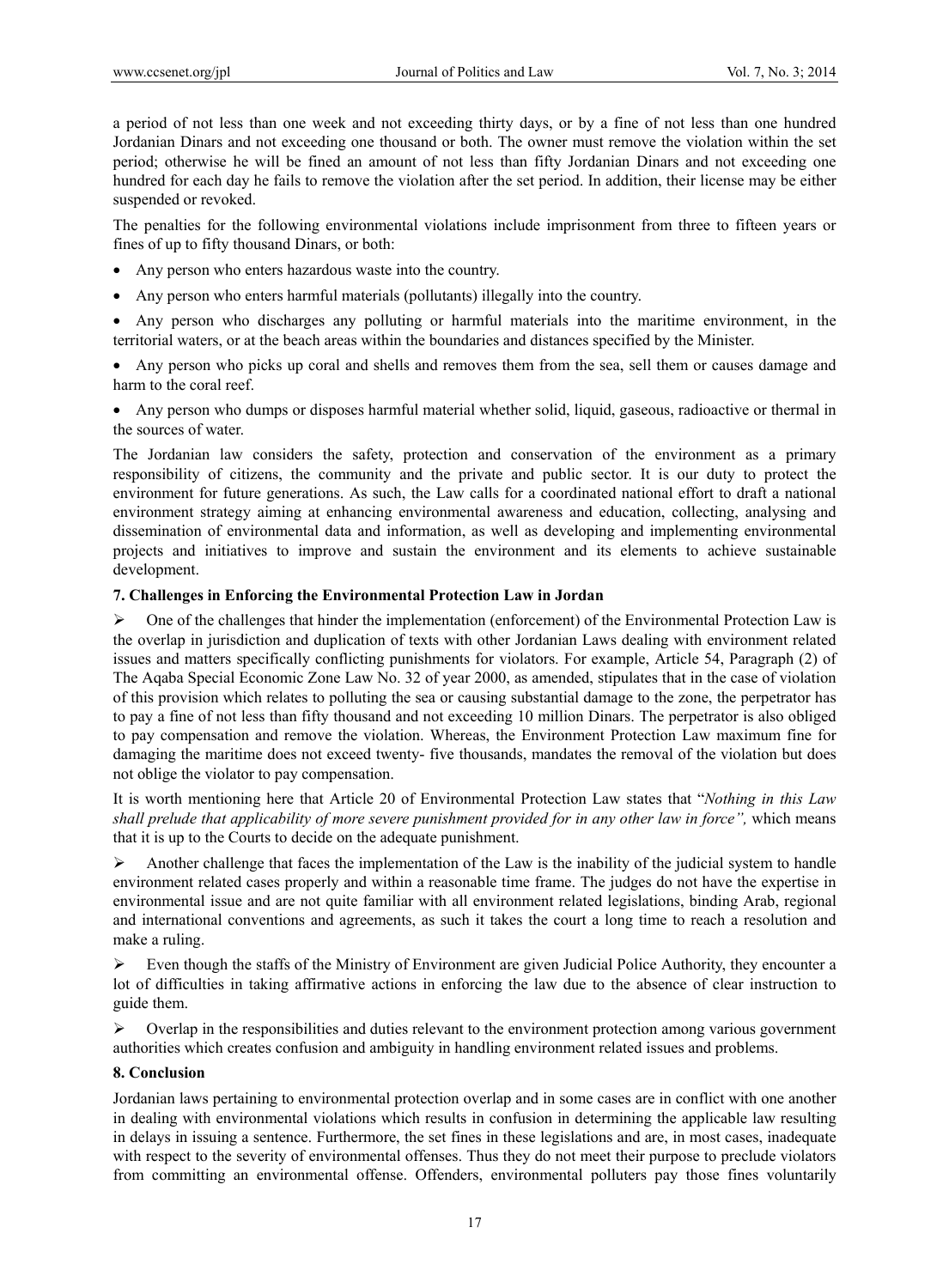a period of not less than one week and not exceeding thirty days, or by a fine of not less than one hundred Jordanian Dinars and not exceeding one thousand or both. The owner must remove the violation within the set period; otherwise he will be fined an amount of not less than fifty Jordanian Dinars and not exceeding one hundred for each day he fails to remove the violation after the set period. In addition, their license may be either suspended or revoked.

The penalties for the following environmental violations include imprisonment from three to fifteen years or fines of up to fifty thousand Dinars, or both:

- Any person who enters hazardous waste into the country.
- Any person who enters harmful materials (pollutants) illegally into the country.

 Any person who discharges any polluting or harmful materials into the maritime environment, in the territorial waters, or at the beach areas within the boundaries and distances specified by the Minister.

 Any person who picks up coral and shells and removes them from the sea, sell them or causes damage and harm to the coral reef.

 Any person who dumps or disposes harmful material whether solid, liquid, gaseous, radioactive or thermal in the sources of water.

The Jordanian law considers the safety, protection and conservation of the environment as a primary responsibility of citizens, the community and the private and public sector. It is our duty to protect the environment for future generations. As such, the Law calls for a coordinated national effort to draft a national environment strategy aiming at enhancing environmental awareness and education, collecting, analysing and dissemination of environmental data and information, as well as developing and implementing environmental projects and initiatives to improve and sustain the environment and its elements to achieve sustainable development.

#### **7. Challenges in Enforcing the Environmental Protection Law in Jordan**

 $\triangleright$  One of the challenges that hinder the implementation (enforcement) of the Environmental Protection Law is the overlap in jurisdiction and duplication of texts with other Jordanian Laws dealing with environment related issues and matters specifically conflicting punishments for violators. For example, Article 54, Paragraph (2) of The Aqaba Special Economic Zone Law No. 32 of year 2000, as amended, stipulates that in the case of violation of this provision which relates to polluting the sea or causing substantial damage to the zone, the perpetrator has to pay a fine of not less than fifty thousand and not exceeding 10 million Dinars. The perpetrator is also obliged to pay compensation and remove the violation. Whereas, the Environment Protection Law maximum fine for damaging the maritime does not exceed twenty- five thousands, mandates the removal of the violation but does not oblige the violator to pay compensation.

It is worth mentioning here that Article 20 of Environmental Protection Law states that "*Nothing in this Law shall prelude that applicability of more severe punishment provided for in any other law in force",* which means that it is up to the Courts to decide on the adequate punishment.

 $\triangleright$  Another challenge that faces the implementation of the Law is the inability of the judicial system to handle environment related cases properly and within a reasonable time frame. The judges do not have the expertise in environmental issue and are not quite familiar with all environment related legislations, binding Arab, regional and international conventions and agreements, as such it takes the court a long time to reach a resolution and make a ruling.

 $\triangleright$  Even though the staffs of the Ministry of Environment are given Judicial Police Authority, they encounter a lot of difficulties in taking affirmative actions in enforcing the law due to the absence of clear instruction to guide them.

 $\triangleright$  Overlap in the responsibilities and duties relevant to the environment protection among various government authorities which creates confusion and ambiguity in handling environment related issues and problems.

### **8. Conclusion**

Jordanian laws pertaining to environmental protection overlap and in some cases are in conflict with one another in dealing with environmental violations which results in confusion in determining the applicable law resulting in delays in issuing a sentence. Furthermore, the set fines in these legislations and are, in most cases, inadequate with respect to the severity of environmental offenses. Thus they do not meet their purpose to preclude violators from committing an environmental offense. Offenders, environmental polluters pay those fines voluntarily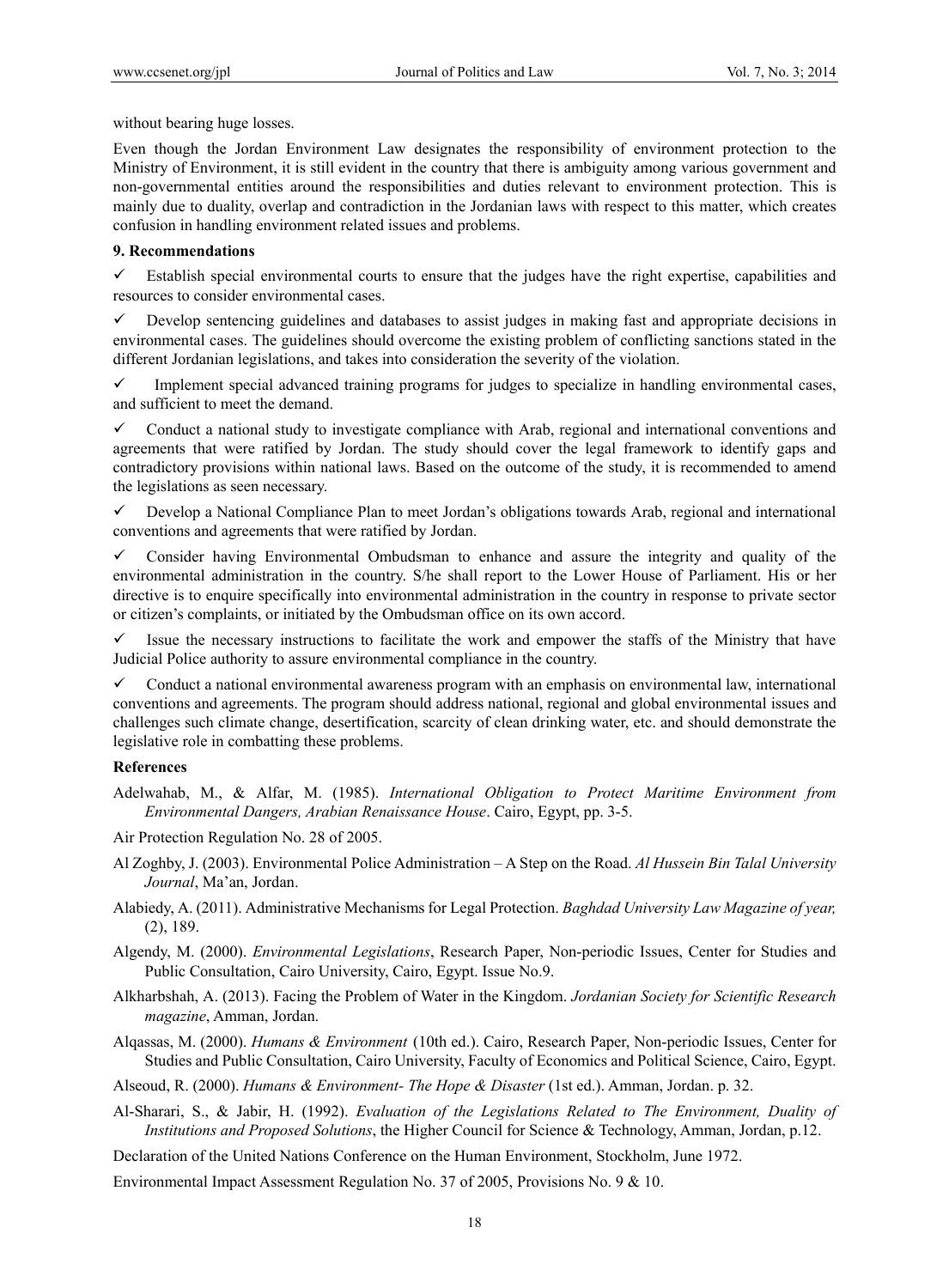without bearing huge losses.

Even though the Jordan Environment Law designates the responsibility of environment protection to the Ministry of Environment, it is still evident in the country that there is ambiguity among various government and non-governmental entities around the responsibilities and duties relevant to environment protection. This is mainly due to duality, overlap and contradiction in the Jordanian laws with respect to this matter, which creates confusion in handling environment related issues and problems.

#### **9. Recommendations**

 $\checkmark$  Establish special environmental courts to ensure that the judges have the right expertise, capabilities and resources to consider environmental cases.

 $\checkmark$  Develop sentencing guidelines and databases to assist judges in making fast and appropriate decisions in environmental cases. The guidelines should overcome the existing problem of conflicting sanctions stated in the different Jordanian legislations, and takes into consideration the severity of the violation.

 $\checkmark$  Implement special advanced training programs for judges to specialize in handling environmental cases, and sufficient to meet the demand.

 Conduct a national study to investigate compliance with Arab, regional and international conventions and agreements that were ratified by Jordan. The study should cover the legal framework to identify gaps and contradictory provisions within national laws. Based on the outcome of the study, it is recommended to amend the legislations as seen necessary.

 $\checkmark$  Develop a National Compliance Plan to meet Jordan's obligations towards Arab, regional and international conventions and agreements that were ratified by Jordan.

 $\checkmark$  Consider having Environmental Ombudsman to enhance and assure the integrity and quality of the environmental administration in the country. S/he shall report to the Lower House of Parliament. His or her directive is to enquire specifically into environmental administration in the country in response to private sector or citizen's complaints, or initiated by the Ombudsman office on its own accord.

 $\checkmark$  Issue the necessary instructions to facilitate the work and empower the staffs of the Ministry that have Judicial Police authority to assure environmental compliance in the country.

 $\checkmark$  Conduct a national environmental awareness program with an emphasis on environmental law, international conventions and agreements. The program should address national, regional and global environmental issues and challenges such climate change, desertification, scarcity of clean drinking water, etc. and should demonstrate the legislative role in combatting these problems.

#### **References**

Adelwahab, M., & Alfar, M. (1985). *International Obligation to Protect Maritime Environment from Environmental Dangers, Arabian Renaissance House*. Cairo, Egypt, pp. 3-5.

Air Protection Regulation No. 28 of 2005.

- Al Zoghby, J. (2003). Environmental Police Administration A Step on the Road. *Al Hussein Bin Talal University Journal*, Ma'an, Jordan.
- Alabiedy, A. (2011). Administrative Mechanisms for Legal Protection. *Baghdad University Law Magazine of year,*  (2), 189.
- Algendy, M. (2000). *Environmental Legislations*, Research Paper, Non-periodic Issues, Center for Studies and Public Consultation, Cairo University, Cairo, Egypt. Issue No.9.
- Alkharbshah, A. (2013). Facing the Problem of Water in the Kingdom. *Jordanian Society for Scientific Research magazine*, Amman, Jordan.
- Alqassas, M. (2000). *Humans & Environment* (10th ed.). Cairo, Research Paper, Non-periodic Issues, Center for Studies and Public Consultation, Cairo University, Faculty of Economics and Political Science, Cairo, Egypt.

Alseoud, R. (2000). *Humans & Environment- The Hope & Disaster* (1st ed.). Amman, Jordan. p. 32.

Al-Sharari, S., & Jabir, H. (1992). *Evaluation of the Legislations Related to The Environment, Duality of Institutions and Proposed Solutions*, the Higher Council for Science & Technology, Amman, Jordan, p.12.

Declaration of the United Nations Conference on the Human Environment, Stockholm, June 1972.

Environmental Impact Assessment Regulation No. 37 of 2005, Provisions No. 9 & 10.